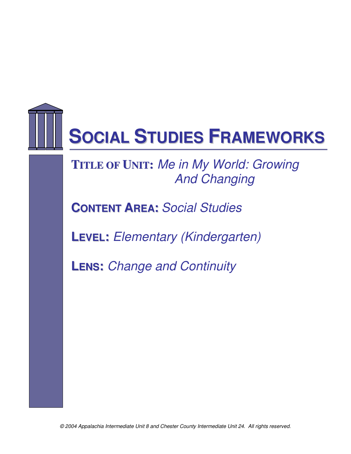

**TITLE OF UNIT:** Me in My World: Growing And Changing

**CONTENT AREA:** Social Studies

**LEVEL:** Elementary (Kindergarten)

**LENS:** Change and Continuity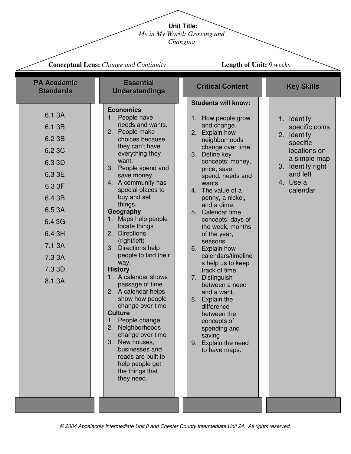**Unit Title:**

*Me in My World: Growing and* 

*Changing* 

|                                                                                                                                                    | <b>Conceptual Lens:</b> Change and Continuity                                                                                                                                                                                                                                                                                                                                                                                                                                                                                                                                                                                                                                                                                                     | <b>Length of Unit: 9 weeks</b>                                                                                                                                                                                                                                                                                                                                                                                                                                                                                                                                                                                                                |                                                                                                                                                      |  |
|----------------------------------------------------------------------------------------------------------------------------------------------------|---------------------------------------------------------------------------------------------------------------------------------------------------------------------------------------------------------------------------------------------------------------------------------------------------------------------------------------------------------------------------------------------------------------------------------------------------------------------------------------------------------------------------------------------------------------------------------------------------------------------------------------------------------------------------------------------------------------------------------------------------|-----------------------------------------------------------------------------------------------------------------------------------------------------------------------------------------------------------------------------------------------------------------------------------------------------------------------------------------------------------------------------------------------------------------------------------------------------------------------------------------------------------------------------------------------------------------------------------------------------------------------------------------------|------------------------------------------------------------------------------------------------------------------------------------------------------|--|
| <b>PA Academic</b><br><b>Standards</b>                                                                                                             | <b>Essential</b><br><b>Understandings</b>                                                                                                                                                                                                                                                                                                                                                                                                                                                                                                                                                                                                                                                                                                         | <b>Critical Content</b>                                                                                                                                                                                                                                                                                                                                                                                                                                                                                                                                                                                                                       | <b>Key Skills</b>                                                                                                                                    |  |
| 6.1 3A<br>6.1 3B<br>6.2 3B<br>6.2 3C<br>6.3 3D<br>6.3 3E<br>6.3 3F<br>6.4 3B<br>6.5 3A<br>6.4 3G<br>6.4 3H<br>7.1 3A<br>7.3 3A<br>7.3 3D<br>8.1 3A | <b>Economics</b><br>People have<br>1.<br>needs and wants.<br>2. People make<br>choices because<br>they can't have<br>everything they<br>want.<br>3. People spend and<br>save money.<br>4. A community has<br>special places to<br>buy and sell<br>things.<br>Geography<br>Maps help people<br>$1_{-}$<br>locate things<br><b>Directions</b><br>2.<br>(right/left)<br>Directions help<br>3.<br>people to find their<br>way.<br><b>History</b><br>1. A calendar shows<br>passage of time.<br>2. A calendar helps<br>show how people<br>change over time<br><b>Culture</b><br>People change<br>Neighborhoods<br>2.<br>change over time<br>3. New houses,<br>businesses and<br>roads are built to<br>help people get<br>the things that<br>they need. | <b>Students will know:</b><br>How people grow<br>1. .<br>and change.<br>2. Explain how<br>neighborhoods<br>change over time.<br>3. Define key<br>concepts: money,<br>price, save,<br>spend, needs and<br>wants<br>4. The value of a<br>penny, a nickel,<br>and a dime.<br>5. Calendar time<br>concepts: days of<br>the week, months<br>of the year,<br>seasons.<br>6. Explain how<br>calendars/timeline<br>s help us to keep<br>track of time<br>7.<br>Distinguish<br>between a need<br>and a want.<br>8.<br><b>Explain the</b><br>difference<br>between the<br>concepts of<br>spending and<br>saving<br>9. Explain the need<br>to have maps. | 1. Identify<br>specific coins<br>Identify<br>2.<br>specific<br>locations on<br>a simple map<br>3. Identify right<br>and left<br>4. Use a<br>calendar |  |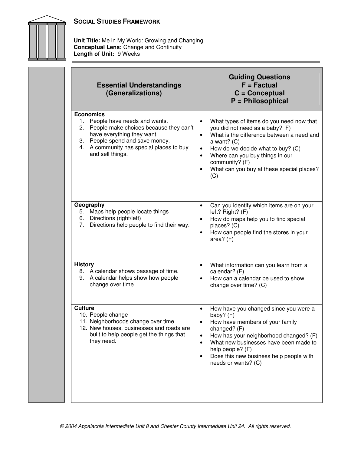



**Unit Title:** Me in My World: Growing and Changing **Conceptual Lens:** Change and Continuity **Length of Unit:** 9 Weeks

| <b>Essential Understandings</b><br>(Generalizations)                                                                                                                                                                                 | <b>Guiding Questions</b><br>$F = Factorual$<br>$C =$ Conceptual<br>P = Philosophical                                                                                                                                                                                                                                                                    |  |
|--------------------------------------------------------------------------------------------------------------------------------------------------------------------------------------------------------------------------------------|---------------------------------------------------------------------------------------------------------------------------------------------------------------------------------------------------------------------------------------------------------------------------------------------------------------------------------------------------------|--|
| <b>Economics</b><br>People have needs and wants.<br>1.<br>2. People make choices because they can't<br>have everything they want.<br>3. People spend and save money.<br>4. A community has special places to buy<br>and sell things. | What types of items do you need now that<br>$\bullet$<br>you did not need as a baby? F)<br>What is the difference between a need and<br>$\bullet$<br>a want? $(C)$<br>How do we decide what to buy? (C)<br>$\bullet$<br>Where can you buy things in our<br>$\bullet$<br>community? (F)<br>What can you buy at these special places?<br>$\bullet$<br>(C) |  |
| Geography<br>5. Maps help people locate things<br>6. Directions (right/left)<br>7. Directions help people to find their way.                                                                                                         | Can you identify which items are on your<br>$\bullet$<br>left? Right? (F)<br>How do maps help you to find special<br>$\bullet$<br>places? (C)<br>How can people find the stores in your<br>$\bullet$<br>area? (F)                                                                                                                                       |  |
| <b>History</b><br>8. A calendar shows passage of time.<br>9. A calendar helps show how people<br>change over time.                                                                                                                   | What information can you learn from a<br>$\bullet$<br>calendar? (F)<br>How can a calendar be used to show<br>$\bullet$<br>change over time? (C)                                                                                                                                                                                                         |  |
| <b>Culture</b><br>10. People change<br>11. Neighborhoods change over time<br>12. New houses, businesses and roads are<br>built to help people get the things that<br>they need.                                                      | How have you changed since you were a<br>$\bullet$<br>baby? (F)<br>How have members of your family<br>changed? (F)<br>How has your neighborhood changed? (F)<br>$\bullet$<br>What new businesses have been made to<br>$\bullet$<br>help people? (F)<br>Does this new business help people with<br>$\bullet$<br>needs or wants? (C)                      |  |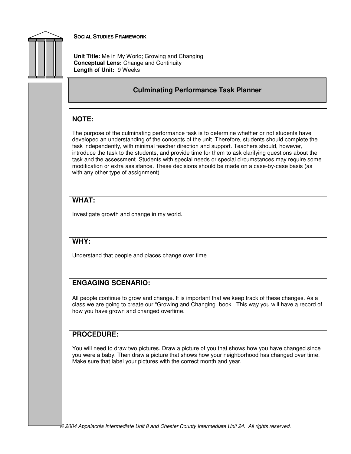

**Unit Title:** Me in My World; Growing and Changing **Conceptual Lens:** Change and Continuity **Length of Unit:** 9 Weeks

## **Culminating Performance Task Planner**

# **NOTE:**

The purpose of the culminating performance task is to determine whether or not students have developed an understanding of the concepts of the unit. Therefore, students should complete the task independently, with minimal teacher direction and support. Teachers should, however, introduce the task to the students, and provide time for them to ask clarifying questions about the task and the assessment. Students with special needs or special circumstances may require some modification or extra assistance. These decisions should be made on a case-by-case basis (as with any other type of assignment).

# **WHAT:**

Investigate growth and change in my world.

## **WHY:**

Understand that people and places change over time.

# **ENGAGING SCENARIO:**

All people continue to grow and change. It is important that we keep track of these changes. As a class we are going to create our "Growing and Changing" book. This way you will have a record of how you have grown and changed overtime.

## **PROCEDURE:**

You will need to draw two pictures. Draw a picture of you that shows how you have changed since you were a baby. Then draw a picture that shows how your neighborhood has changed over time. Make sure that label your pictures with the correct month and year.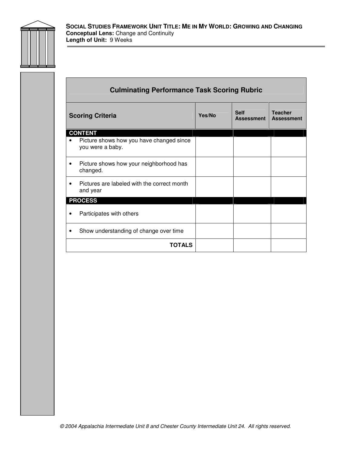

| <b>Culminating Performance Task Scoring Rubric</b>           |        |                                  |                                     |  |
|--------------------------------------------------------------|--------|----------------------------------|-------------------------------------|--|
| <b>Scoring Criteria</b>                                      | Yes/No | <b>Self</b><br><b>Assessment</b> | <b>Teacher</b><br><b>Assessment</b> |  |
| <b>CONTENT</b>                                               |        |                                  |                                     |  |
| Picture shows how you have changed since<br>you were a baby. |        |                                  |                                     |  |
| Picture shows how your neighborhood has<br>changed.          |        |                                  |                                     |  |
| Pictures are labeled with the correct month<br>٠<br>and year |        |                                  |                                     |  |
| <b>PROCESS</b>                                               |        |                                  |                                     |  |
| Participates with others                                     |        |                                  |                                     |  |
| Show understanding of change over time                       |        |                                  |                                     |  |
| <b>TOTALS</b>                                                |        |                                  |                                     |  |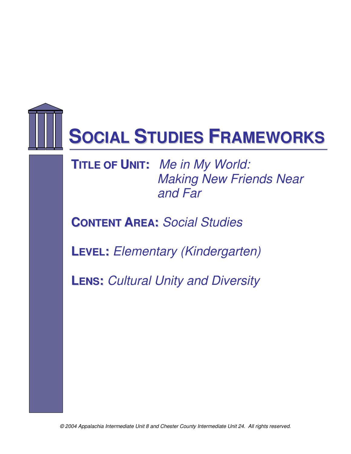

**TITLE OF UNIT:** Me in My World: Making New Friends Near and Far

**CONTENT AREA:** Social Studies

**LEVEL:** Elementary (Kindergarten)

**LENS:** Cultural Unity and Diversity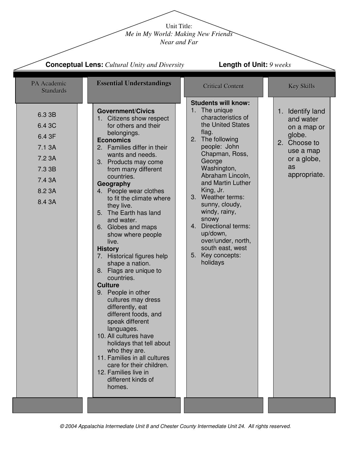Unit Title: *Me in My World: Making New Friends Near and Far* 

|                                                                                        | <b>Conceptual Lens:</b> Cultural Unity and Diversity                                                                                                                                                                                                                                                                                                                                                                                                                                                                                                                                                                                                                                                                                                                                                                                                        | <b>Length of Unit: 9 weeks</b>                                                                                                                                                                                                                                                                                                                                                                                             |                                                                                                                          |  |
|----------------------------------------------------------------------------------------|-------------------------------------------------------------------------------------------------------------------------------------------------------------------------------------------------------------------------------------------------------------------------------------------------------------------------------------------------------------------------------------------------------------------------------------------------------------------------------------------------------------------------------------------------------------------------------------------------------------------------------------------------------------------------------------------------------------------------------------------------------------------------------------------------------------------------------------------------------------|----------------------------------------------------------------------------------------------------------------------------------------------------------------------------------------------------------------------------------------------------------------------------------------------------------------------------------------------------------------------------------------------------------------------------|--------------------------------------------------------------------------------------------------------------------------|--|
| PA Academic<br><b>Standards</b>                                                        | <b>Essential Understandings</b>                                                                                                                                                                                                                                                                                                                                                                                                                                                                                                                                                                                                                                                                                                                                                                                                                             | <b>Critical Content</b>                                                                                                                                                                                                                                                                                                                                                                                                    | <b>Key Skills</b>                                                                                                        |  |
| 6.3 3B<br>6.4 3C<br>6.4 3F<br>7.1 3A<br>7.2 3A<br>7.3 3B<br>7.4 3A<br>8.2 3A<br>8.4 3A | <b>Government/Civics</b><br>1. Citizens show respect<br>for others and their<br>belongings.<br><b>Economics</b><br>2. Families differ in their<br>wants and needs.<br>3. Products may come<br>from many different<br>countries.<br>Geography<br>4. People wear clothes<br>to fit the climate where<br>they live.<br>5. The Earth has land<br>and water.<br>6. Globes and maps<br>show where people<br>live.<br><b>History</b><br>7. Historical figures help<br>shape a nation.<br>8. Flags are unique to<br>countries.<br><b>Culture</b><br>9. People in other<br>cultures may dress<br>differently, eat<br>different foods, and<br>speak different<br>languages.<br>10. All cultures have<br>holidays that tell about<br>who they are.<br>11. Families in all cultures<br>care for their children.<br>12. Families live in<br>different kinds of<br>homes. | <b>Students will know:</b><br>1. The unique<br>characteristics of<br>the United States<br>flag.<br>The following<br>2.<br>people: John<br>Chapman, Ross,<br>George<br>Washington,<br>Abraham Lincoln,<br>and Martin Luther<br>King, Jr.<br>3. Weather terms:<br>sunny, cloudy,<br>windy, rainy,<br>snowy<br>4. Directional terms:<br>up/down,<br>over/under, north,<br>south east, west<br>Key concepts:<br>5.<br>holidays | 1. Identify land<br>and water<br>on a map or<br>globe.<br>2. Choose to<br>use a map<br>or a globe,<br>as<br>appropriate. |  |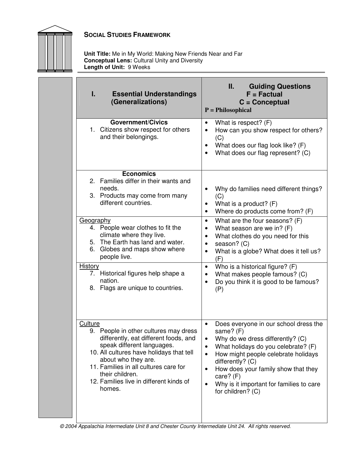

**Unit Title:** Me in My World: Making New Friends Near and Far **Conceptual Lens:** Cultural Unity and Diversity **Length of Unit:** 9 Weeks

| I.              | <b>Essential Understandings</b><br>(Generalizations)                                                                                                                                                                                                                                             | Ш.<br><b>Guiding Questions</b><br>$F = Factorual$<br>$C =$ Conceptual<br>$P = Philosophical$                                                                                                                                                                                                                                                                                                |
|-----------------|--------------------------------------------------------------------------------------------------------------------------------------------------------------------------------------------------------------------------------------------------------------------------------------------------|---------------------------------------------------------------------------------------------------------------------------------------------------------------------------------------------------------------------------------------------------------------------------------------------------------------------------------------------------------------------------------------------|
|                 | <b>Government/Civics</b><br>1. Citizens show respect for others<br>and their belongings.                                                                                                                                                                                                         | What is respect? $(F)$<br>$\bullet$<br>How can you show respect for others?<br>$\bullet$<br>(C)<br>What does our flag look like? (F)<br>$\bullet$<br>What does our flag represent? (C)                                                                                                                                                                                                      |
|                 | <b>Economics</b><br>2. Families differ in their wants and<br>needs.<br>3. Products may come from many<br>different countries.                                                                                                                                                                    | Why do families need different things?<br>(C)<br>What is a product? $(F)$<br>٠<br>Where do products come from? (F)<br>$\bullet$                                                                                                                                                                                                                                                             |
| Geography<br>6. | 4. People wear clothes to fit the<br>climate where they live.<br>5. The Earth has land and water.<br>Globes and maps show where<br>people live.                                                                                                                                                  | What are the four seasons? (F)<br>$\bullet$<br>What season are we in? (F)<br>$\bullet$<br>What clothes do you need for this<br>$\bullet$<br>season? (C)<br>$\bullet$<br>What is a globe? What does it tell us?<br>$\bullet$<br>(F)                                                                                                                                                          |
| <b>History</b>  | 7. Historical figures help shape a<br>nation.<br>8. Flags are unique to countries.                                                                                                                                                                                                               | Who is a historical figure? (F)<br>$\bullet$<br>What makes people famous? (C)<br>$\bullet$<br>Do you think it is good to be famous?<br>(P)                                                                                                                                                                                                                                                  |
| <b>Culture</b>  | 9. People in other cultures may dress<br>differently, eat different foods, and<br>speak different languages.<br>10. All cultures have holidays that tell<br>about who they are.<br>11. Families in all cultures care for<br>their children.<br>12. Families live in different kinds of<br>homes. | Does everyone in our school dress the<br>$\bullet$<br>same? (F)<br>Why do we dress differently? (C)<br>$\bullet$<br>What holidays do you celebrate? (F)<br>$\bullet$<br>How might people celebrate holidays<br>$\bullet$<br>differently? (C)<br>How does your family show that they<br>$\bullet$<br>care? (F)<br>Why is it important for families to care<br>$\bullet$<br>for children? (C) |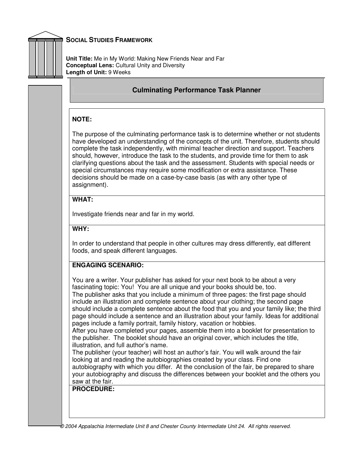

**Unit Title:** Me in My World: Making New Friends Near and Far **Conceptual Lens:** Cultural Unity and Diversity **Length of Unit:** 9 Weeks

### **Culminating Performance Task Planner**

#### **NOTE:**

The purpose of the culminating performance task is to determine whether or not students have developed an understanding of the concepts of the unit. Therefore, students should complete the task independently, with minimal teacher direction and support. Teachers should, however, introduce the task to the students, and provide time for them to ask clarifying questions about the task and the assessment. Students with special needs or special circumstances may require some modification or extra assistance. These decisions should be made on a case-by-case basis (as with any other type of assignment).

#### **WHAT:**

Investigate friends near and far in my world.

#### **WHY:**

In order to understand that people in other cultures may dress differently, eat different foods, and speak different languages.

### **ENGAGING SCENARIO:**

You are a writer. Your publisher has asked for your next book to be about a very fascinating topic: You! You are all unique and your books should be, too. The publisher asks that you include a minimum of three pages: the first page should include an illustration and complete sentence about your clothing; the second page should include a complete sentence about the food that you and your family like; the third page should include a sentence and an illustration about your family. Ideas for additional pages include a family portrait, family history, vacation or hobbies.

After you have completed your pages, assemble them into a booklet for presentation to the publisher. The booklet should have an original cover, which includes the title, illustration, and full author's name.

The publisher (your teacher) will host an author's fair. You will walk around the fair looking at and reading the autobiographies created by your class. Find one autobiography with which you differ. At the conclusion of the fair, be prepared to share your autobiography and discuss the differences between your booklet and the others you saw at the fair.

**PROCEDURE:**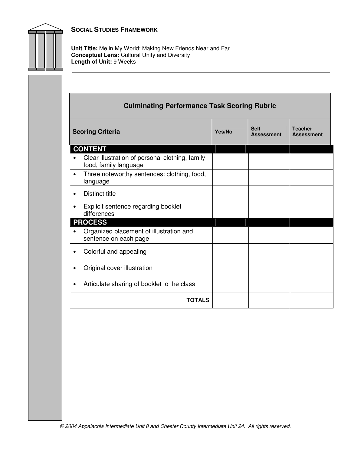

**Unit Title:** Me in My World: Making New Friends Near and Far **Conceptual Lens:** Cultural Unity and Diversity **Length of Unit:** 9 Weeks

| <b>Culminating Performance Task Scoring Rubric</b>                                                           |  |  |  |  |
|--------------------------------------------------------------------------------------------------------------|--|--|--|--|
| <b>Self</b><br><b>Teacher</b><br><b>Scoring Criteria</b><br>Yes/No<br><b>Assessment</b><br><b>Assessment</b> |  |  |  |  |
| <b>CONTENT</b>                                                                                               |  |  |  |  |
| Clear illustration of personal clothing, family<br>food, family language                                     |  |  |  |  |
| Three noteworthy sentences: clothing, food,<br>$\bullet$<br>language                                         |  |  |  |  |
| <b>Distinct title</b><br>$\bullet$                                                                           |  |  |  |  |
| Explicit sentence regarding booklet<br>٠<br>differences                                                      |  |  |  |  |
| <b>PROCESS</b>                                                                                               |  |  |  |  |
| Organized placement of illustration and<br>sentence on each page                                             |  |  |  |  |
| Colorful and appealing<br>$\bullet$                                                                          |  |  |  |  |
| Original cover illustration                                                                                  |  |  |  |  |
| Articulate sharing of booklet to the class<br>$\bullet$                                                      |  |  |  |  |
| <b>TOTALS</b>                                                                                                |  |  |  |  |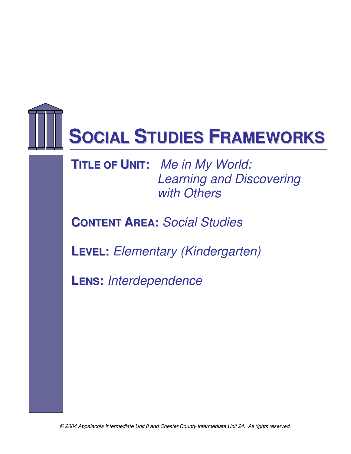

**TITLE OF UNIT:** Me in My World: Learning and Discovering with Others

**CONTENT AREA:** Social Studies

**LEVEL:** Elementary (Kindergarten)

**LENS:** Interdependence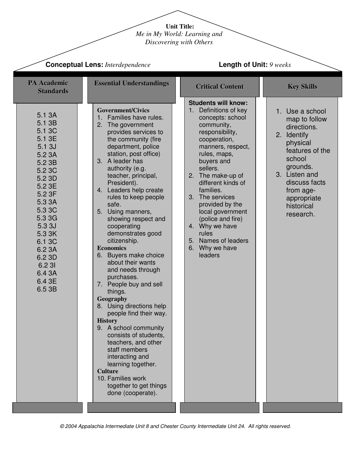**Unit Title:** 

*Me in My World: Learning and* 

*Discovering with Others* 

| <b>Conceptual Lens: Interdependence</b>                                                                                                                                                                                           |                                                                                                                                                                                                                                                                                                                                                                                                                                                                                                                                                                                                                                                                                                                                                                                                                                                                       | Length of Unit: 9 weeks                                                                                                                                                                                                                                                                                                                                                                                       |                                                                                                                                                                                                              |  |
|-----------------------------------------------------------------------------------------------------------------------------------------------------------------------------------------------------------------------------------|-----------------------------------------------------------------------------------------------------------------------------------------------------------------------------------------------------------------------------------------------------------------------------------------------------------------------------------------------------------------------------------------------------------------------------------------------------------------------------------------------------------------------------------------------------------------------------------------------------------------------------------------------------------------------------------------------------------------------------------------------------------------------------------------------------------------------------------------------------------------------|---------------------------------------------------------------------------------------------------------------------------------------------------------------------------------------------------------------------------------------------------------------------------------------------------------------------------------------------------------------------------------------------------------------|--------------------------------------------------------------------------------------------------------------------------------------------------------------------------------------------------------------|--|
| <b>PA Academic</b><br><b>Standards</b>                                                                                                                                                                                            | <b>Essential Understandings</b>                                                                                                                                                                                                                                                                                                                                                                                                                                                                                                                                                                                                                                                                                                                                                                                                                                       | <b>Critical Content</b>                                                                                                                                                                                                                                                                                                                                                                                       | <b>Key Skills</b>                                                                                                                                                                                            |  |
| 5.1 3A<br>5.1 3B<br>5.1 3C<br>5.1 3E<br>5.13J<br>5.2 3A<br>5.2 3B<br>5.2 3C<br>5.2 3D<br>5.2 3E<br>5.2 3F<br>5.3 3A<br>5.3 3C<br>5.3 3G<br>5.3 3J<br>5.3 3K<br>6.1 3C<br>6.2 3A<br>6.2 3D<br>6.2 31<br>6.4 3A<br>6.4 3E<br>6.5 3B | <b>Government/Civics</b><br>1. Families have rules.<br>2. The government<br>provides services to<br>the community (fire<br>department, police<br>station, post office)<br>3. A leader has<br>authority (e.g.<br>teacher, principal,<br>President).<br>4. Leaders help create<br>rules to keep people<br>safe.<br>5. Using manners,<br>showing respect and<br>cooperating<br>demonstrates good<br>citizenship.<br><b>Economics</b><br>6. Buyers make choice<br>about their wants<br>and needs through<br>purchases.<br>7. People buy and sell<br>things.<br>Geography<br>8. Using directions help<br>people find their way.<br><b>History</b><br>9. A school community<br>consists of students,<br>teachers, and other<br>staff members<br>interacting and<br>learning together.<br><b>Culture</b><br>10. Families work<br>together to get things<br>done (cooperate). | <b>Students will know:</b><br>1. Definitions of key<br>concepts: school<br>community,<br>responsibility,<br>cooperation,<br>manners, respect,<br>rules, maps,<br>buyers and<br>sellers.<br>2. The make-up of<br>different kinds of<br>families.<br>3. The services<br>provided by the<br>local government<br>(police and fire)<br>4. Why we have<br>rules<br>5. Names of leaders<br>6. Why we have<br>leaders | 1. Use a school<br>map to follow<br>directions.<br>2. Identify<br>physical<br>features of the<br>school<br>grounds.<br>3. Listen and<br>discuss facts<br>from age-<br>appropriate<br>historical<br>research. |  |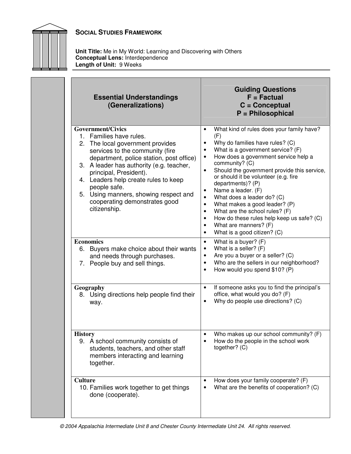



**Unit Title:** Me in My World: Learning and Discovering with Others **Conceptual Lens:** Interdependence **Length of Unit:** 9 Weeks

| <b>Essential Understandings</b><br>(Generalizations)                                                                                                                                                                                                                                                                                                                                    | <b>Guiding Questions</b><br>$F = Factorual$<br>$C =$ Conceptual<br>$P =$ Philosophical                                                                                                                                                                                                                                                                                                                                                                                                                                                                                                                                                                                 |  |  |
|-----------------------------------------------------------------------------------------------------------------------------------------------------------------------------------------------------------------------------------------------------------------------------------------------------------------------------------------------------------------------------------------|------------------------------------------------------------------------------------------------------------------------------------------------------------------------------------------------------------------------------------------------------------------------------------------------------------------------------------------------------------------------------------------------------------------------------------------------------------------------------------------------------------------------------------------------------------------------------------------------------------------------------------------------------------------------|--|--|
| Government/Civics<br>1. Families have rules.<br>2. The local government provides<br>services to the community (fire<br>department, police station, post office)<br>3. A leader has authority (e.g. teacher,<br>principal, President).<br>4. Leaders help create rules to keep<br>people safe.<br>5. Using manners, showing respect and<br>cooperating demonstrates good<br>citizenship. | What kind of rules does your family have?<br>$\bullet$<br>(F)<br>Why do families have rules? (C)<br>٠<br>What is a government service? (F)<br>$\bullet$<br>How does a government service help a<br>$\bullet$<br>community? (C)<br>Should the government provide this service,<br>$\bullet$<br>or should it be volunteer (e.g. fire<br>departments)? (P)<br>Name a leader. (F)<br>$\bullet$<br>What does a leader do? (C)<br>$\bullet$<br>What makes a good leader? (P)<br>$\bullet$<br>What are the school rules? (F)<br>$\bullet$<br>How do these rules help keep us safe? (C)<br>$\bullet$<br>What are manners? (F)<br>$\bullet$<br>What is a good citizen? (C)<br>٠ |  |  |
| <b>Economics</b><br>6. Buyers make choice about their wants<br>and needs through purchases.<br>7. People buy and sell things.                                                                                                                                                                                                                                                           | What is a buyer? (F)<br>$\bullet$<br>What is a seller? (F)<br>$\bullet$<br>Are you a buyer or a seller? (C)<br>$\bullet$<br>Who are the sellers in our neighborhood?<br>$\bullet$<br>How would you spend \$10? (P)<br>$\bullet$                                                                                                                                                                                                                                                                                                                                                                                                                                        |  |  |
| Geography<br>8. Using directions help people find their<br>way.                                                                                                                                                                                                                                                                                                                         | If someone asks you to find the principal's<br>$\bullet$<br>office, what would you do? (F)<br>Why do people use directions? (C)<br>$\bullet$                                                                                                                                                                                                                                                                                                                                                                                                                                                                                                                           |  |  |
| <b>History</b><br>9. A school community consists of<br>students, teachers, and other staff<br>members interacting and learning<br>together.                                                                                                                                                                                                                                             | Who makes up our school community? (F)<br>How do the people in the school work<br>$\bullet$<br>together? (C)                                                                                                                                                                                                                                                                                                                                                                                                                                                                                                                                                           |  |  |
| <b>Culture</b><br>10. Families work together to get things<br>done (cooperate).                                                                                                                                                                                                                                                                                                         | How does your family cooperate? (F)<br>What are the benefits of cooperation? (C)                                                                                                                                                                                                                                                                                                                                                                                                                                                                                                                                                                                       |  |  |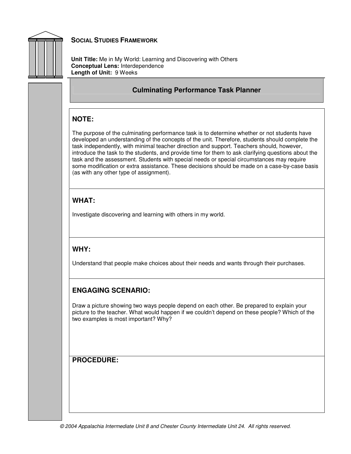

**Unit Title:** Me in My World: Learning and Discovering with Others **Conceptual Lens:** Interdependence **Length of Unit:** 9 Weeks

### **Culminating Performance Task Planner**

### **NOTE:**

The purpose of the culminating performance task is to determine whether or not students have developed an understanding of the concepts of the unit. Therefore, students should complete the task independently, with minimal teacher direction and support. Teachers should, however, introduce the task to the students, and provide time for them to ask clarifying questions about the task and the assessment. Students with special needs or special circumstances may require some modification or extra assistance. These decisions should be made on a case-by-case basis (as with any other type of assignment).

### **WHAT:**

Investigate discovering and learning with others in my world.

### **WHY:**

Understand that people make choices about their needs and wants through their purchases.

## **ENGAGING SCENARIO:**

Draw a picture showing two ways people depend on each other. Be prepared to explain your picture to the teacher. What would happen if we couldn't depend on these people? Which of the two examples is most important? Why?

### **PROCEDURE:**